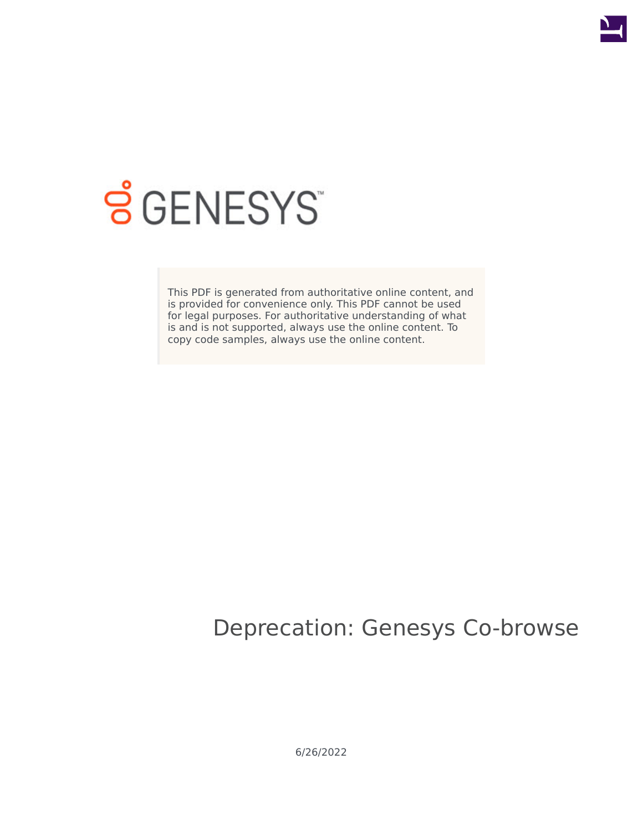

# **S** GENESYS

This PDF is generated from authoritative online content, and is provided for convenience only. This PDF cannot be used for legal purposes. For authoritative understanding of what is and is not supported, always use the online content. To copy code samples, always use the online content.

# Deprecation: Genesys Co-browse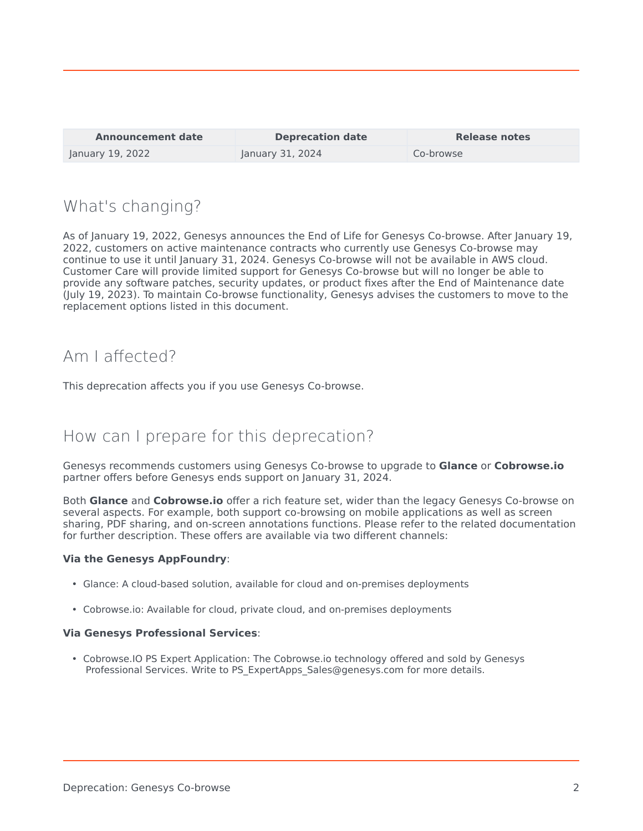| <b>Announcement date</b> | <b>Deprecation date</b> | <b>Release notes</b> |
|--------------------------|-------------------------|----------------------|
| January 19, 2022         | January 31, 2024        | Co-browse            |

#### What's changing?

As of January 19, 2022, Genesys announces the End of Life for Genesys Co-browse. After January 19, 2022, customers on active maintenance contracts who currently use Genesys Co-browse may continue to use it until January 31, 2024. Genesys Co-browse will not be available in AWS cloud. Customer Care will provide limited support for Genesys Co-browse but will no longer be able to provide any software patches, security updates, or product fixes after the End of Maintenance date (July 19, 2023). To maintain Co-browse functionality, Genesys advises the customers to move to the replacement options listed in this document.

## Am I affected?

This deprecation affects you if you use Genesys Co-browse.

## How can I prepare for this deprecation?

Genesys recommends customers using Genesys Co-browse to upgrade to **Glance** or **Cobrowse.io** partner offers before Genesys ends support on January 31, 2024.

Both **Glance** and **Cobrowse.io** offer a rich feature set, wider than the legacy Genesys Co-browse on several aspects. For example, both support co-browsing on mobile applications as well as screen sharing, PDF sharing, and on-screen annotations functions. Please refer to the related documentation for further description. These offers are available via two different channels:

#### **Via the Genesys AppFoundry**:

- Glance: A cloud-based solution, available for cloud and on-premises deployments
- Cobrowse.io: Available for cloud, private cloud, and on-premises deployments

#### **Via Genesys Professional Services**:

• Cobrowse.IO PS Expert Application: The Cobrowse.io technology offered and sold by Genesys Professional Services. Write to PS\_ExpertApps\_Sales@genesys.com for more details.